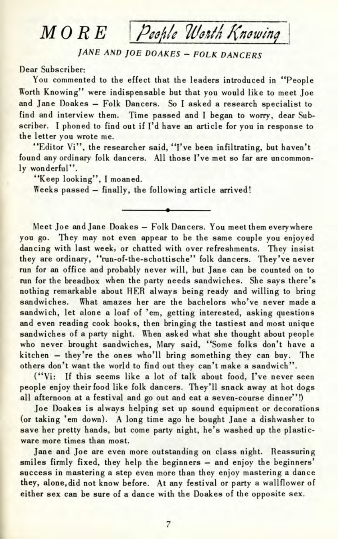## *MORE* Pechle Worth Knowing

## JANE AND JOE DOAKES - FOLK DANCERS

## Dear Subscriber:

You commented to the effect that the leaders introduced in "People Worth Knowing" were indispensable but that you would like to meet Joe and Jane Doakes - Folk Dancers. So I asked a research specialist to find and interview them. Time passed and I began to worry, dear Subscriber. I phoned to find out if I'd have an article for you in response to the letter you wrote me.

"Editor Vi", the researcher said, "I've been infiltrating, but haven't found any ordinary folk dancers. All those I've met so far are uncommonly wonderful".

"Keep looking", I moaned.

Weeks passed — finally, the following article arrived!

Meet Joe and Jane Doakes — Folk Dancers. You meet them everywhere you go. They may not even appear to be the same couple you enjoyed dancing with last week, or chatted with over refreshments. They insist they are ordinary, "run-of-the-schottische" folk dancers. They've never run for an office and probably never will, but Jane can be counted on to run for the breadbox when the party needs sandwiches. She says there's nothing remarkable about HER always being ready and willing to bring sandwiches. What amazes her are the bachelors who've never made a sandwich, let alone a loaf of 'em, getting interested, asking questions and even reading cook books, then bringing the tastiest and most unique sandwiches of a party night. When asked what she thought about people who never brought sandwiches, Mary said, "Some folks don't have a kitchen - they're the ones who'll bring something they can buy. The others don't want the world to find out they can't make a sandwich".

("Vi: If this seems like a lot of talk about food, I've never seen people enjoy their food like folk dancers. They'll snack away at hot dogs all afternoon at a festival and go out and eat a seven-course dinner"!)

Joe Doakes is always helping set up sound equipment or decorations (or taking 'em down). A long time ago he bought Jane a dishwasher to save her pretty hands, but come party night, he's washed up the plasticware more times than most.

Jane and Joe are even more outstanding on class night. Reassuring smiles firmly fixed, they help the beginners - and enjoy the beginners' success in mastering a step even more than they enjoy mastering a dance they, alone, did not know before. At any festival or party a wallflower of either sex can be sure of a dance with the Doakes of the opposite sex.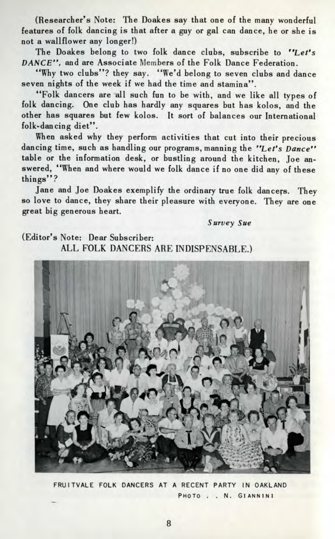(Researcher's Note: The Doakes say that one of the many wonderful features of folk dancing is that after a guy or gal can dance, he or she is not a wallflower any longer!)

The Doakes belong to two folk dance clubs, subscribe to *"Let's DANCE",* and are Associate Members of the Folk Dance Federation.

"Why two clubs"? they say. "We'd belong to seven clubs and dance seven nights of the week if we had the time and stamina".

"Folk dancers are all such fun to be with, and we like all types of folk dancing. One club has hardly any squares but has kolos, and the other has squares but few kolos. It sort of balances our International folk-dancing diet".

When asked why they perform activities that cut into their precious dancing time, such as handling our programs, manning the "Let's Dance" table or the information desk, or bustling around the kitchen, Joe answered, "When and where would we folk dance if no one did any of these things"?

Jane and Joe Doakes exemplify the ordinary true folk dancers. They so love to dance, they share their pleasure with everyone. They are one great big generous heart.

*Survey Sue*

(Editor's Note: Dear Subscriber: ALL FOLK DANCERS ARE INDISPENSABLE.)



FRUITVALE FOLK DANCERS AT A RECENT PARTY IN OAKLAND PHOTO . . N. GIANNINI